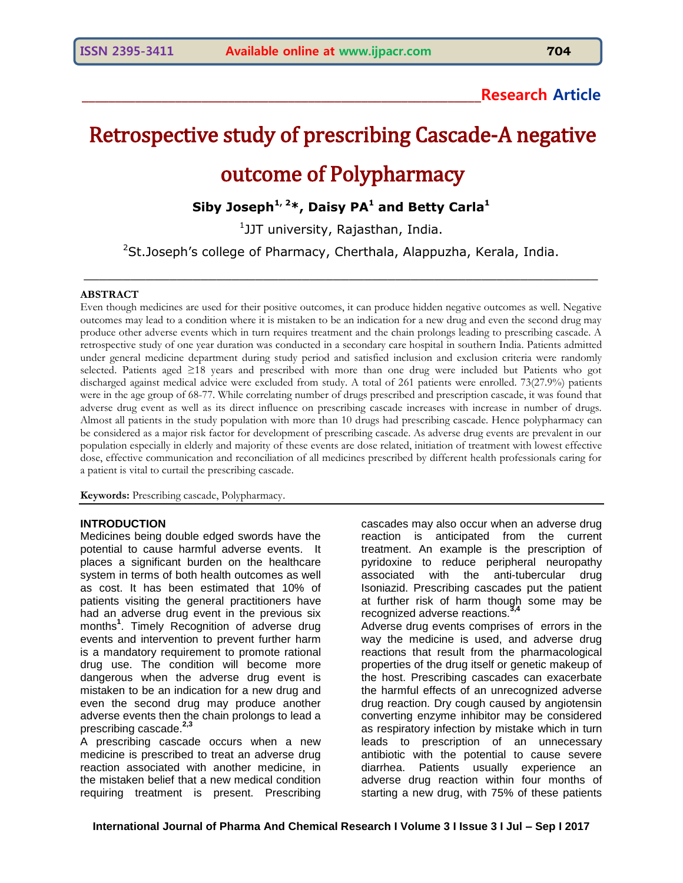## **\_\_\_\_\_\_\_\_\_\_\_\_\_\_\_\_\_\_\_\_\_\_\_\_\_\_\_\_\_\_\_\_\_\_\_\_\_\_\_\_\_\_\_\_\_\_\_\_\_\_\_\_\_\_\_\_\_\_\_\_Research Article**

# Retrospective study of prescribing Cascade-A negative outcome of Polypharmacy

**Siby Joseph1, 2\*, Daisy PA <sup>1</sup> and Betty Carla<sup>1</sup>**

1 JJT university, Rajasthan, India.

<sup>2</sup>St.Joseph's college of Pharmacy, Cherthala, Alappuzha, Kerala, India.

\_\_\_\_\_\_\_\_\_\_\_\_\_\_\_\_\_\_\_\_\_\_\_\_\_\_\_\_\_\_\_\_\_\_\_\_\_\_\_\_\_\_\_\_\_\_\_\_\_\_\_\_\_\_\_\_\_\_\_\_\_\_\_\_\_\_

#### **ABSTRACT**

Even though medicines are used for their positive outcomes, it can produce hidden negative outcomes as well. Negative outcomes may lead to a condition where it is mistaken to be an indication for a new drug and even the second drug may produce other adverse events which in turn requires treatment and the chain prolongs leading to prescribing cascade. A retrospective study of one year duration was conducted in a secondary care hospital in southern India. Patients admitted under general medicine department during study period and satisfied inclusion and exclusion criteria were randomly selected. Patients aged ≥18 years and prescribed with more than one drug were included but Patients who got discharged against medical advice were excluded from study. A total of 261 patients were enrolled. 73(27.9%) patients were in the age group of 68-77. While correlating number of drugs prescribed and prescription cascade, it was found that adverse drug event as well as its direct influence on prescribing cascade increases with increase in number of drugs. Almost all patients in the study population with more than 10 drugs had prescribing cascade. Hence polypharmacy can be considered as a major risk factor for development of prescribing cascade. As adverse drug events are prevalent in our population especially in elderly and majority of these events are dose related, initiation of treatment with lowest effective dose, effective communication and reconciliation of all medicines prescribed by different health professionals caring for a patient is vital to curtail the prescribing cascade.

**Keywords:** Prescribing cascade, Polypharmacy.

#### **INTRODUCTION**

Medicines being double edged swords have the potential to cause harmful adverse events. It places a significant burden on the healthcare system in terms of both health outcomes as well as cost. It has been estimated that 10% of patients visiting the general practitioners have had an adverse drug event in the previous six months**<sup>1</sup>** . Timely Recognition of adverse drug events and intervention to prevent further harm is a mandatory requirement to promote rational drug use. The condition will become more dangerous when the adverse drug event is mistaken to be an indication for a new drug and even the second drug may produce another adverse events then the chain prolongs to lead a prescribing cascade.**2,3**

A prescribing cascade occurs when a new medicine is prescribed to treat an adverse drug reaction associated with another medicine, in the mistaken belief that a new medical condition requiring treatment is present. Prescribing cascades may also occur when an adverse drug reaction is anticipated from the current treatment. An example is the prescription of pyridoxine to reduce peripheral neuropathy associated with the anti-tubercular drug Isoniazid. Prescribing cascades put the patient at further risk of harm though some may be recognized adverse reactions.<sup>3</sup> Adverse drug events comprises of errors in the way the medicine is used, and adverse drug reactions that result from the pharmacological properties of the drug itself or genetic makeup of the host. Prescribing cascades can exacerbate the harmful effects of an unrecognized adverse drug reaction. Dry cough caused by angiotensin converting enzyme inhibitor may be considered as respiratory infection by mistake which in turn leads to prescription of an unnecessary antibiotic with the potential to cause severe diarrhea. Patients usually experience an adverse drug reaction within four months of starting a new drug, with 75% of these patients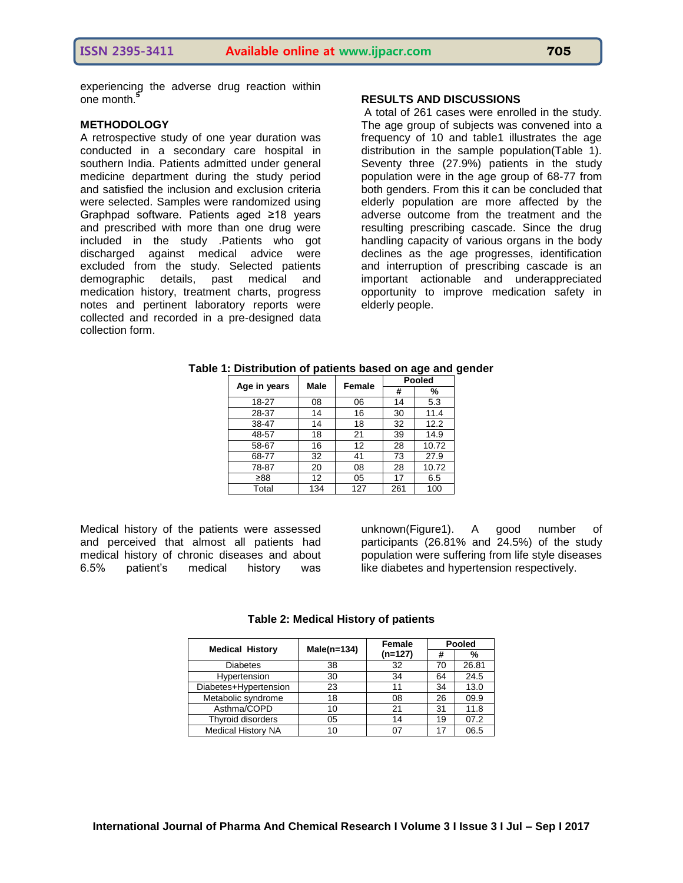experiencing the adverse drug reaction within one month.**<sup>5</sup>**

#### **METHODOLOGY**

A retrospective study of one year duration was conducted in a secondary care hospital in southern India. Patients admitted under general medicine department during the study period and satisfied the inclusion and exclusion criteria were selected. Samples were randomized using Graphpad software. Patients aged ≥18 years and prescribed with more than one drug were included in the study .Patients who got discharged against medical advice were excluded from the study. Selected patients demographic details, past medical and medication history, treatment charts, progress notes and pertinent laboratory reports were collected and recorded in a pre-designed data collection form.

#### **RESULTS AND DISCUSSIONS**

A total of 261 cases were enrolled in the study. The age group of subjects was convened into a frequency of 10 and table1 illustrates the age distribution in the sample population(Table 1). Seventy three (27.9%) patients in the study population were in the age group of 68-77 from both genders. From this it can be concluded that elderly population are more affected by the adverse outcome from the treatment and the resulting prescribing cascade. Since the drug handling capacity of various organs in the body declines as the age progresses, identification and interruption of prescribing cascade is an important actionable and underappreciated opportunity to improve medication safety in elderly people.

| Age in years | Male | Female |     | <b>Pooled</b> |  |
|--------------|------|--------|-----|---------------|--|
|              |      |        | #   | %             |  |
| 18-27        | 08   | 06     | 14  | 5.3           |  |
| 28-37        | 14   | 16     | 30  | 11.4          |  |
| 38-47        | 14   | 18     | 32  | 12.2          |  |
| 48-57        | 18   | 21     | 39  | 14.9          |  |
| 58-67        | 16   | 12     | 28  | 10.72         |  |
| 68-77        | 32   | 41     | 73  | 27.9          |  |
| 78-87        | 20   | 08     | 28  | 10.72         |  |
| ≥88          | 12   | 05     | 17  | 6.5           |  |
| Total        | 134  | 127    | 261 | 100           |  |

# **Table 1: Distribution of patients based on age and gender**

Medical history of the patients were assessed and perceived that almost all patients had medical history of chronic diseases and about 6.5% patient's medical history was

unknown(Figure1). A good number of participants (26.81% and 24.5%) of the study population were suffering from life style diseases like diabetes and hypertension respectively.

| <b>Medical History</b>    | $Male(n=134)$ | Female    | Pooled |       |
|---------------------------|---------------|-----------|--------|-------|
|                           |               | $(n=127)$ | #      | %     |
| <b>Diabetes</b>           | 38            | 32        | 70     | 26.81 |
| Hypertension              | 30            | 34        | 64     | 24.5  |
| Diabetes+Hypertension     | 23            | 11        | 34     | 13.0  |
| Metabolic syndrome        | 18            | 08        | 26     | 09.9  |
| Asthma/COPD               | 10            | 21        | 31     | 11.8  |
| Thyroid disorders         | 05            | 14        | 19     | 07.2  |
| <b>Medical History NA</b> |               |           | 17     | 06.5  |

#### **Table 2: Medical History of patients**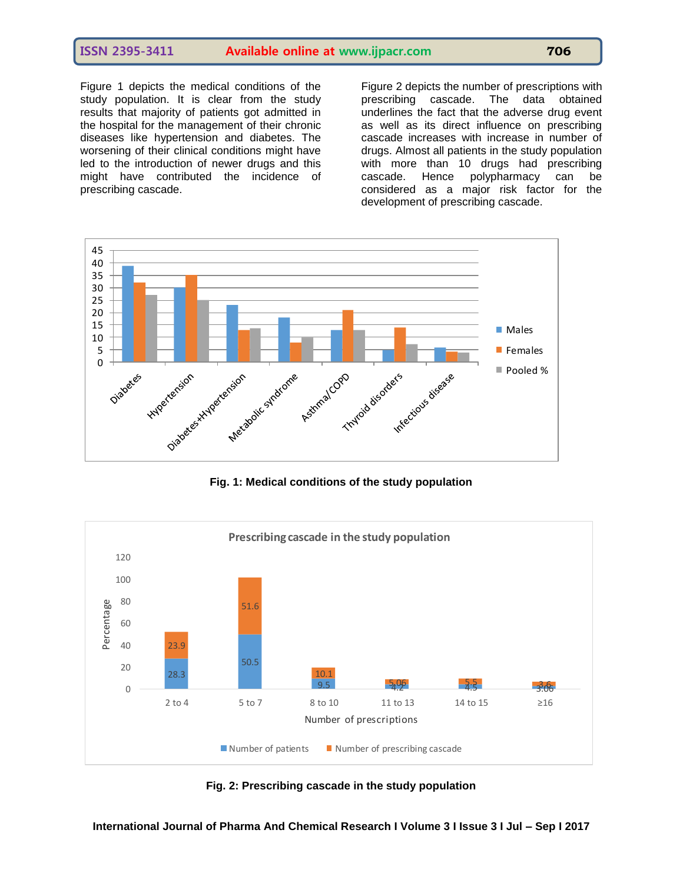### **ISSN 2395-3411 Available online at www.ijpacr.com 706**

Figure 1 depicts the medical conditions of the study population. It is clear from the study results that majority of patients got admitted in the hospital for the management of their chronic diseases like hypertension and diabetes. The worsening of their clinical conditions might have led to the introduction of newer drugs and this might have contributed the incidence of prescribing cascade.

Figure 2 depicts the number of prescriptions with prescribing cascade. The data obtained underlines the fact that the adverse drug event as well as its direct influence on prescribing cascade increases with increase in number of drugs. Almost all patients in the study population with more than 10 drugs had prescribing cascade. Hence polypharmacy can be considered as a major risk factor for the development of prescribing cascade.



**Fig. 1: Medical conditions of the study population**



**Fig. 2: Prescribing cascade in the study population**

**International Journal of Pharma And Chemical Research I Volume 3 I Issue 3 I Jul – Sep I 2017**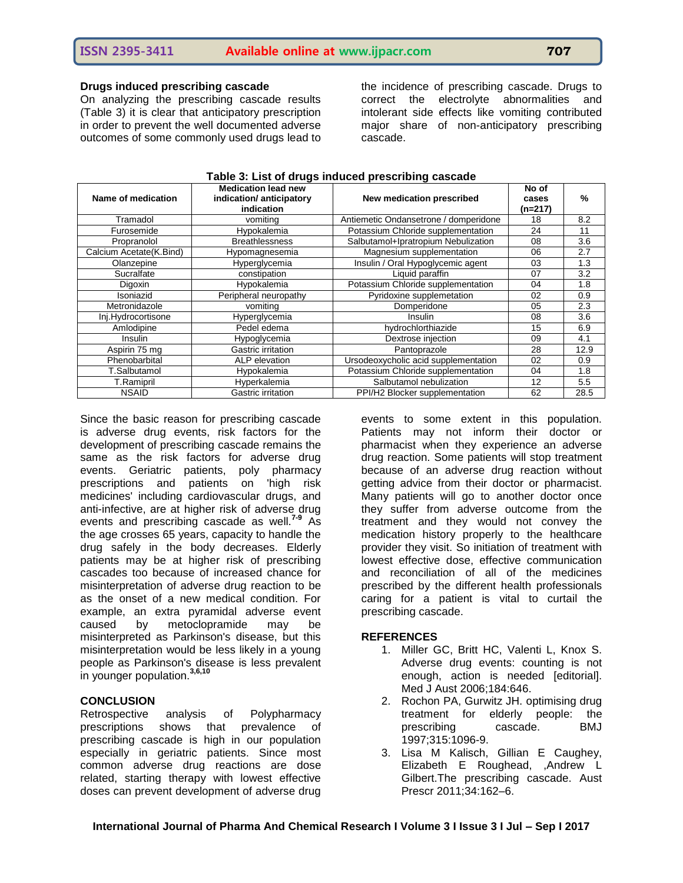#### **Drugs induced prescribing cascade**

On analyzing the prescribing cascade results (Table 3) it is clear that anticipatory prescription in order to prevent the well documented adverse outcomes of some commonly used drugs lead to

the incidence of prescribing cascade. Drugs to correct the electrolyte abnormalities and intolerant side effects like vomiting contributed major share of non-anticipatory prescribing cascade.

| Name of medication      | <b>Medication lead new</b><br>indication/ anticipatory<br>indication | ອ −−<br>New medication prescribed     | No of<br>cases<br>(n=217) | $\frac{9}{6}$ |
|-------------------------|----------------------------------------------------------------------|---------------------------------------|---------------------------|---------------|
| Tramadol                | vomiting                                                             | Antiemetic Ondansetrone / domperidone | 18                        | 8.2           |
| Furosemide              | Hypokalemia                                                          | Potassium Chloride supplementation    | 24                        | 11            |
| Propranolol             | <b>Breathlessness</b>                                                | Salbutamol+Ipratropium Nebulization   | 08                        | 3.6           |
| Calcium Acetate(K.Bind) | Hypomagnesemia                                                       | Magnesium supplementation             | 06                        | 2.7           |
| Olanzepine              | Hyperglycemia                                                        | Insulin / Oral Hypoglycemic agent     | 03                        | 1.3           |
| Sucralfate              | constipation                                                         | Liguid paraffin                       | 07                        | 3.2           |
| Digoxin                 | Hypokalemia                                                          | Potassium Chloride supplementation    | 04                        | 1.8           |
| Isoniazid               | Peripheral neuropathy                                                | Pyridoxine supplemetation             | 02                        | 0.9           |
| Metronidazole           | vomiting                                                             | Domperidone                           | 05                        | 2.3           |
| Inj.Hydrocortisone      | Hyperglycemia                                                        | Insulin                               | 08                        | 3.6           |
| Amlodipine              | Pedel edema                                                          | hydrochlorthiazide                    | 15                        | 6.9           |
| <b>Insulin</b>          | Hypoglycemia                                                         | Dextrose injection                    | 09                        | 4.1           |
| Aspirin 75 mg           | Gastric irritation                                                   | Pantoprazole                          | 28                        | 12.9          |
| Phenobarbital           | ALP elevation                                                        | Ursodeoxycholic acid supplementation  | 02                        | 0.9           |
| T.Salbutamol            | Hypokalemia                                                          | Potassium Chloride supplementation    | 04                        | 1.8           |
| T.Ramipril              | Hyperkalemia                                                         | Salbutamol nebulization               | 12                        | 5.5           |
| <b>NSAID</b>            | Gastric irritation                                                   | PPI/H2 Blocker supplementation        | 62                        | 28.5          |

**Table 3: List of drugs induced prescribing cascade**

Since the basic reason for prescribing cascade is adverse drug events, risk factors for the development of prescribing cascade remains the same as the risk factors for adverse drug events. Geriatric patients, poly pharmacy prescriptions and patients on 'high risk medicines' including cardiovascular drugs, and anti-infective, are at higher risk of adverse drug events and prescribing cascade as well.**7-9** As the age crosses 65 years, capacity to handle the drug safely in the body decreases. Elderly patients may be at higher risk of prescribing cascades too because of increased chance for misinterpretation of adverse drug reaction to be as the onset of a new medical condition. For example, an extra pyramidal adverse event caused by metoclopramide may be misinterpreted as Parkinson's disease, but this misinterpretation would be less likely in a young people as Parkinson's disease is less prevalent in younger population.**3,6,10**

#### **CONCLUSION**

Retrospective analysis of Polypharmacy prescriptions shows that prevalence of prescribing cascade is high in our population especially in geriatric patients. Since most common adverse drug reactions are dose related, starting therapy with lowest effective doses can prevent development of adverse drug

events to some extent in this population. Patients may not inform their doctor or pharmacist when they experience an adverse drug reaction. Some patients will stop treatment because of an adverse drug reaction without getting advice from their doctor or pharmacist. Many patients will go to another doctor once they suffer from adverse outcome from the treatment and they would not convey the medication history properly to the healthcare provider they visit. So initiation of treatment with lowest effective dose, effective communication and reconciliation of all of the medicines prescribed by the different health professionals caring for a patient is vital to curtail the prescribing cascade.

#### **REFERENCES**

- 1. Miller GC, Britt HC, Valenti L, Knox S. Adverse drug events: counting is not enough, action is needed [editorial]. Med J Aust 2006;184:646.
- 2. Rochon PA, Gurwitz JH. optimising drug treatment for elderly people: the prescribing cascade. BMJ 1997;315:1096-9.
- 3. Lisa M Kalisch, Gillian E Caughey, Elizabeth E Roughead, ,Andrew L Gilbert.The prescribing cascade. Aust Prescr 2011;34:162–6.